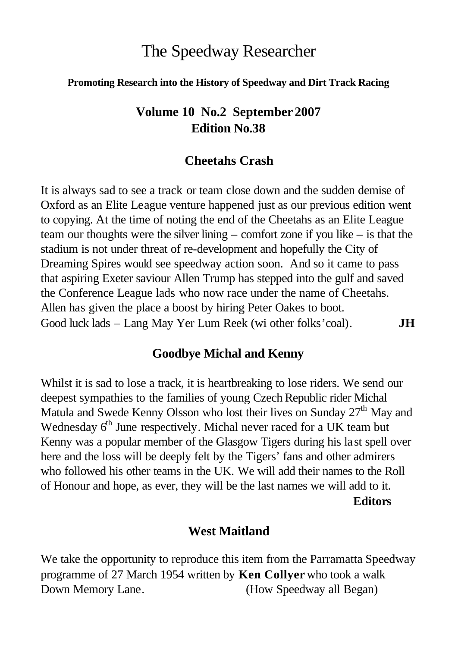# The Speedway Researcher

#### **Promoting Research into the History of Speedway and Dirt Track Racing**

## **Volume 10 No.2 September 2007 Edition No.38**

### **Cheetahs Crash**

It is always sad to see a track or team close down and the sudden demise of Oxford as an Elite League venture happened just as our previous edition went to copying. At the time of noting the end of the Cheetahs as an Elite League team our thoughts were the silver lining – comfort zone if you like – is that the stadium is not under threat of re-development and hopefully the City of Dreaming Spires would see speedway action soon. And so it came to pass that aspiring Exeter saviour Allen Trump has stepped into the gulf and saved the Conference League lads who now race under the name of Cheetahs. Allen has given the place a boost by hiring Peter Oakes to boot. Good luck lads – Lang May Yer Lum Reek (wi other folks'coal). **JH**

### **Goodbye Michal and Kenny**

Whilst it is sad to lose a track, it is heartbreaking to lose riders. We send our deepest sympathies to the families of young Czech Republic rider Michal Matula and Swede Kenny Olsson who lost their lives on Sunday  $27<sup>th</sup>$  May and Wednesday 6<sup>th</sup> June respectively. Michal never raced for a UK team but Kenny was a popular member of the Glasgow Tigers during his la st spell over here and the loss will be deeply felt by the Tigers' fans and other admirers who followed his other teams in the UK. We will add their names to the Roll of Honour and hope, as ever, they will be the last names we will add to it. **Editors**

#### **West Maitland**

We take the opportunity to reproduce this item from the Parramatta Speedway programme of 27 March 1954 written by **Ken Collyer** who took a walk Down Memory Lane. (How Speedway all Began)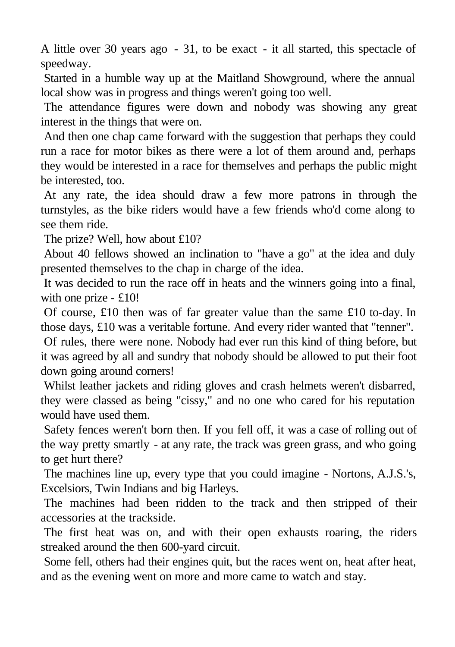A little over 30 years ago - 31, to be exact - it all started, this spectacle of speedway.

Started in a humble way up at the Maitland Showground, where the annual local show was in progress and things weren't going too well.

The attendance figures were down and nobody was showing any great interest in the things that were on.

And then one chap came forward with the suggestion that perhaps they could run a race for motor bikes as there were a lot of them around and, perhaps they would be interested in a race for themselves and perhaps the public might be interested, too.

At any rate, the idea should draw a few more patrons in through the turnstyles, as the bike riders would have a few friends who'd come along to see them ride.

The prize? Well, how about £10?

About 40 fellows showed an inclination to "have a go" at the idea and duly presented themselves to the chap in charge of the idea.

It was decided to run the race off in heats and the winners going into a final, with one prize - £10!

Of course, £10 then was of far greater value than the same £10 to-day. In those days, £10 was a veritable fortune. And every rider wanted that "tenner".

Of rules, there were none. Nobody had ever run this kind of thing before, but it was agreed by all and sundry that nobody should be allowed to put their foot down going around corners!

Whilst leather jackets and riding gloves and crash helmets weren't disbarred, they were classed as being "cissy," and no one who cared for his reputation would have used them.

Safety fences weren't born then. If you fell off, it was a case of rolling out of the way pretty smartly - at any rate, the track was green grass, and who going to get hurt there?

The machines line up, every type that you could imagine - Nortons, A.J.S.'s, Excelsiors, Twin Indians and big Harleys.

The machines had been ridden to the track and then stripped of their accessories at the trackside.

The first heat was on, and with their open exhausts roaring, the riders streaked around the then 600-yard circuit.

Some fell, others had their engines quit, but the races went on, heat after heat, and as the evening went on more and more came to watch and stay.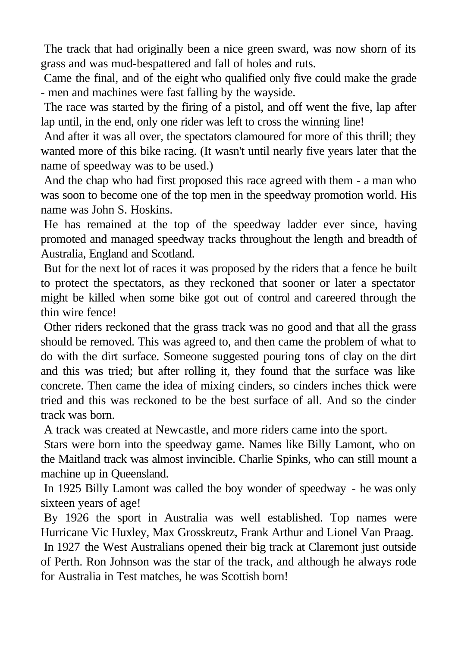The track that had originally been a nice green sward, was now shorn of its grass and was mud-bespattered and fall of holes and ruts.

Came the final, and of the eight who qualified only five could make the grade - men and machines were fast falling by the wayside.

The race was started by the firing of a pistol, and off went the five, lap after lap until, in the end, only one rider was left to cross the winning line!

And after it was all over, the spectators clamoured for more of this thrill; they wanted more of this bike racing. (It wasn't until nearly five years later that the name of speedway was to be used.)

And the chap who had first proposed this race agreed with them - a man who was soon to become one of the top men in the speedway promotion world. His name was John S. Hoskins.

He has remained at the top of the speedway ladder ever since, having promoted and managed speedway tracks throughout the length and breadth of Australia, England and Scotland.

But for the next lot of races it was proposed by the riders that a fence he built to protect the spectators, as they reckoned that sooner or later a spectator might be killed when some bike got out of control and careered through the thin wire fence!

Other riders reckoned that the grass track was no good and that all the grass should be removed. This was agreed to, and then came the problem of what to do with the dirt surface. Someone suggested pouring tons of clay on the dirt and this was tried; but after rolling it, they found that the surface was like concrete. Then came the idea of mixing cinders, so cinders inches thick were tried and this was reckoned to be the best surface of all. And so the cinder track was born.

A track was created at Newcastle, and more riders came into the sport.

Stars were born into the speedway game. Names like Billy Lamont, who on the Maitland track was almost invincible. Charlie Spinks, who can still mount a machine up in Queensland.

In 1925 Billy Lamont was called the boy wonder of speedway - he was only sixteen years of age!

By 1926 the sport in Australia was well established. Top names were Hurricane Vic Huxley, Max Grosskreutz, Frank Arthur and Lionel Van Praag.

In 1927 the West Australians opened their big track at Claremont just outside of Perth. Ron Johnson was the star of the track, and although he always rode for Australia in Test matches, he was Scottish born!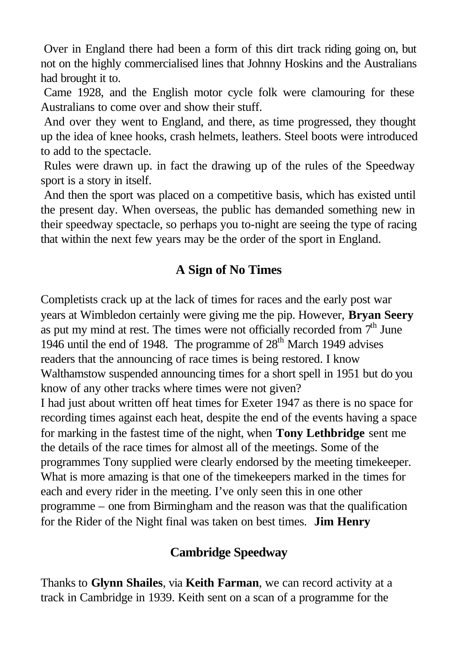Over in England there had been a form of this dirt track riding going on, but not on the highly commercialised lines that Johnny Hoskins and the Australians had brought it to.

Came 1928, and the English motor cycle folk were clamouring for these Australians to come over and show their stuff.

And over they went to England, and there, as time progressed, they thought up the idea of knee hooks, crash helmets, leathers. Steel boots were introduced to add to the spectacle.

Rules were drawn up. in fact the drawing up of the rules of the Speedway sport is a story in itself.

And then the sport was placed on a competitive basis, which has existed until the present day. When overseas, the public has demanded something new in their speedway spectacle, so perhaps you to-night are seeing the type of racing that within the next few years may be the order of the sport in England.

# **A Sign of No Times**

Completists crack up at the lack of times for races and the early post war years at Wimbledon certainly were giving me the pip. However, **Bryan Seery** as put my mind at rest. The times were not officially recorded from  $7<sup>th</sup>$  June 1946 until the end of 1948. The programme of  $28<sup>th</sup>$  March 1949 advises readers that the announcing of race times is being restored. I know Walthamstow suspended announcing times for a short spell in 1951 but do you know of any other tracks where times were not given? I had just about written off heat times for Exeter 1947 as there is no space for recording times against each heat, despite the end of the events having a space for marking in the fastest time of the night, when **Tony Lethbridge** sent me the details of the race times for almost all of the meetings. Some of the programmes Tony supplied were clearly endorsed by the meeting timekeeper. What is more amazing is that one of the timekeepers marked in the times for each and every rider in the meeting. I've only seen this in one other programme – one from Birmingham and the reason was that the qualification for the Rider of the Night final was taken on best times. **Jim Henry**

# **Cambridge Speedway**

Thanks to **Glynn Shailes**, via **Keith Farman**, we can record activity at a track in Cambridge in 1939. Keith sent on a scan of a programme for the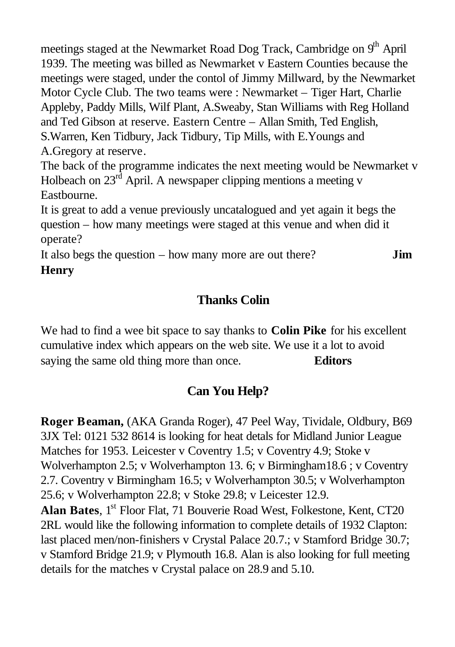meetings staged at the Newmarket Road Dog Track, Cambridge on 9<sup>th</sup> April 1939. The meeting was billed as Newmarket v Eastern Counties because the meetings were staged, under the contol of Jimmy Millward, by the Newmarket Motor Cycle Club. The two teams were : Newmarket – Tiger Hart, Charlie Appleby, Paddy Mills, Wilf Plant, A.Sweaby, Stan Williams with Reg Holland and Ted Gibson at reserve. Eastern Centre – Allan Smith, Ted English, S.Warren, Ken Tidbury, Jack Tidbury, Tip Mills, with E.Youngs and A.Gregory at reserve.

The back of the programme indicates the next meeting would be Newmarket v Holbeach on  $23<sup>rd</sup>$  April. A newspaper clipping mentions a meeting v Eastbourne.

It is great to add a venue previously uncatalogued and yet again it begs the question – how many meetings were staged at this venue and when did it operate?

It also begs the question – how many more are out there? **Jim Henry**

# **Thanks Colin**

We had to find a wee bit space to say thanks to **Colin Pike** for his excellent cumulative index which appears on the web site. We use it a lot to avoid saying the same old thing more than once. **Editors**

# **Can You Help?**

**Roger Beaman,** (AKA Granda Roger), 47 Peel Way, Tividale, Oldbury, B69 3JX Tel: 0121 532 8614 is looking for heat detals for Midland Junior League Matches for 1953. Leicester v Coventry 1.5; v Coventry 4.9; Stoke v Wolverhampton 2.5; v Wolverhampton 13. 6; v Birmingham18.6 ; v Coventry 2.7. Coventry v Birmingham 16.5; v Wolverhampton 30.5; v Wolverhampton 25.6; v Wolverhampton 22.8; v Stoke 29.8; v Leicester 12.9.

**Alan Bates, 1<sup>st</sup> Floor Flat, 71 Bouverie Road West, Folkestone, Kent, CT20** 2RL would like the following information to complete details of 1932 Clapton: last placed men/non-finishers v Crystal Palace 20.7.; v Stamford Bridge 30.7; v Stamford Bridge 21.9; v Plymouth 16.8. Alan is also looking for full meeting details for the matches v Crystal palace on 28.9 and 5.10.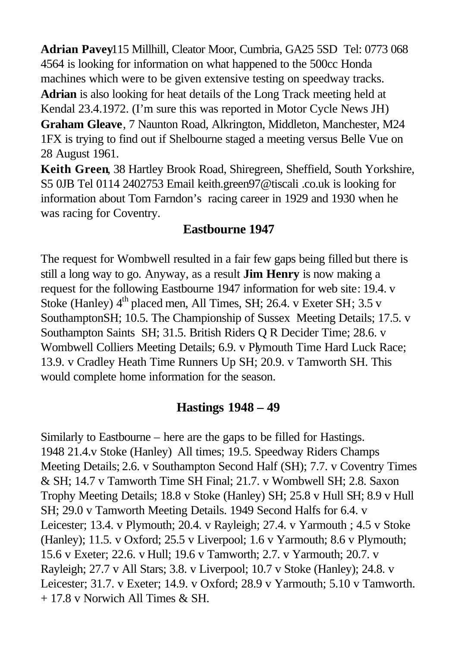**Adrian Pavey**115 Millhill, Cleator Moor, Cumbria, GA25 5SD Tel: 0773 068 4564 is looking for information on what happened to the 500cc Honda machines which were to be given extensive testing on speedway tracks. **Adrian** is also looking for heat details of the Long Track meeting held at Kendal 23.4.1972. (I'm sure this was reported in Motor Cycle News JH) **Graham Gleave**, 7 Naunton Road, Alkrington, Middleton, Manchester, M24 1FX is trying to find out if Shelbourne staged a meeting versus Belle Vue on 28 August 1961.

**Keith Green**, 38 Hartley Brook Road, Shiregreen, Sheffield, South Yorkshire, S5 0JB Tel 0114 2402753 Email keith.green97@tiscali .co.uk is looking for information about Tom Farndon's racing career in 1929 and 1930 when he was racing for Coventry.

## **Eastbourne 1947**

The request for Wombwell resulted in a fair few gaps being filled but there is still a long way to go. Anyway, as a result **Jim Henry** is now making a request for the following Eastbourne 1947 information for web site: 19.4. v Stoke (Hanley) 4<sup>th</sup> placed men, All Times, SH; 26.4. v Exeter SH; 3.5 v SouthamptonSH; 10.5. The Championship of Sussex Meeting Details; 17.5. v Southampton Saints SH; 31.5. British Riders Q R Decider Time; 28.6. v Wombwell Colliers Meeting Details; 6.9. v Plymouth Time Hard Luck Race; 13.9. v Cradley Heath Time Runners Up SH; 20.9. v Tamworth SH. This would complete home information for the season.

### **Hastings 1948 – 49**

Similarly to Eastbourne – here are the gaps to be filled for Hastings. 1948 21.4.v Stoke (Hanley) All times; 19.5. Speedway Riders Champs Meeting Details; 2.6. v Southampton Second Half (SH); 7.7. v Coventry Times & SH; 14.7 v Tamworth Time SH Final; 21.7. v Wombwell SH; 2.8. Saxon Trophy Meeting Details; 18.8 v Stoke (Hanley) SH; 25.8 v Hull SH; 8.9 v Hull SH; 29.0 v Tamworth Meeting Details. 1949 Second Halfs for 6.4. v Leicester; 13.4. v Plymouth; 20.4. v Rayleigh; 27.4. v Yarmouth ; 4.5 v Stoke (Hanley); 11.5. v Oxford; 25.5 v Liverpool; 1.6 v Yarmouth; 8.6 v Plymouth; 15.6 v Exeter; 22.6. v Hull; 19.6 v Tamworth; 2.7. v Yarmouth; 20.7. v Rayleigh; 27.7 v All Stars; 3.8. v Liverpool; 10.7 v Stoke (Hanley); 24.8. v Leicester; 31.7. v Exeter; 14.9. v Oxford; 28.9 v Yarmouth; 5.10 v Tamworth. + 17.8 v Norwich All Times & SH.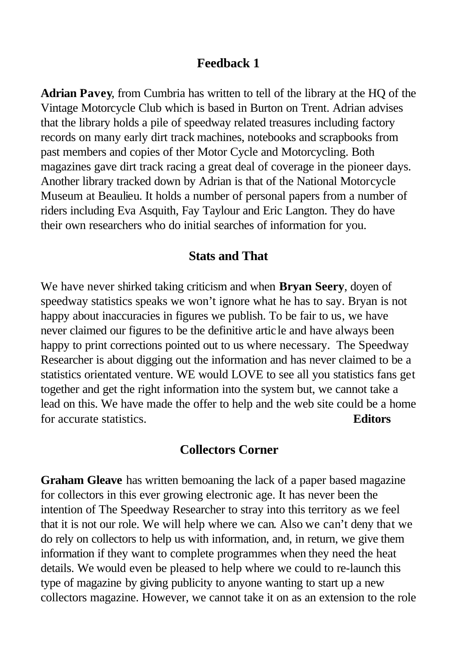### **Feedback 1**

**Adrian Pavey**, from Cumbria has written to tell of the library at the HQ of the Vintage Motorcycle Club which is based in Burton on Trent. Adrian advises that the library holds a pile of speedway related treasures including factory records on many early dirt track machines, notebooks and scrapbooks from past members and copies of ther Motor Cycle and Motorcycling. Both magazines gave dirt track racing a great deal of coverage in the pioneer days. Another library tracked down by Adrian is that of the National Motorcycle Museum at Beaulieu. It holds a number of personal papers from a number of riders including Eva Asquith, Fay Taylour and Eric Langton. They do have their own researchers who do initial searches of information for you.

### **Stats and That**

We have never shirked taking criticism and when **Bryan Seery**, doyen of speedway statistics speaks we won't ignore what he has to say. Bryan is not happy about inaccuracies in figures we publish. To be fair to us, we have never claimed our figures to be the definitive artic le and have always been happy to print corrections pointed out to us where necessary. The Speedway Researcher is about digging out the information and has never claimed to be a statistics orientated venture. WE would LOVE to see all you statistics fans get together and get the right information into the system but, we cannot take a lead on this. We have made the offer to help and the web site could be a home for accurate statistics. **Editors**

#### **Collectors Corner**

**Graham Gleave** has written bemoaning the lack of a paper based magazine for collectors in this ever growing electronic age. It has never been the intention of The Speedway Researcher to stray into this territory as we feel that it is not our role. We will help where we can. Also we can't deny that we do rely on collectors to help us with information, and, in return, we give them information if they want to complete programmes when they need the heat details. We would even be pleased to help where we could to re-launch this type of magazine by giving publicity to anyone wanting to start up a new collectors magazine. However, we cannot take it on as an extension to the role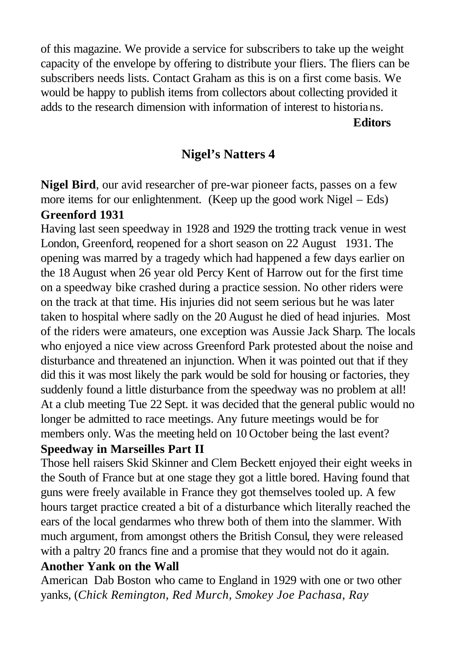of this magazine. We provide a service for subscribers to take up the weight capacity of the envelope by offering to distribute your fliers. The fliers can be subscribers needs lists. Contact Graham as this is on a first come basis. We would be happy to publish items from collectors about collecting provided it adds to the research dimension with information of interest to historians.

**Editors**

# **Nigel's Natters 4**

**Nigel Bird**, our avid researcher of pre-war pioneer facts, passes on a few more items for our enlightenment. (Keep up the good work Nigel – Eds) **Greenford 1931**

Having last seen speedway in 1928 and 1929 the trotting track venue in west London, Greenford, reopened for a short season on 22 August 1931. The opening was marred by a tragedy which had happened a few days earlier on the 18 August when 26 year old Percy Kent of Harrow out for the first time on a speedway bike crashed during a practice session. No other riders were on the track at that time. His injuries did not seem serious but he was later taken to hospital where sadly on the 20 August he died of head injuries. Most of the riders were amateurs, one exception was Aussie Jack Sharp. The locals who enjoyed a nice view across Greenford Park protested about the noise and disturbance and threatened an injunction. When it was pointed out that if they did this it was most likely the park would be sold for housing or factories, they suddenly found a little disturbance from the speedway was no problem at all! At a club meeting Tue 22 Sept. it was decided that the general public would no longer be admitted to race meetings. Any future meetings would be for members only. Was the meeting held on 10 October being the last event?

### **Speedway in Marseilles Part II**

Those hell raisers Skid Skinner and Clem Beckett enjoyed their eight weeks in the South of France but at one stage they got a little bored. Having found that guns were freely available in France they got themselves tooled up. A few hours target practice created a bit of a disturbance which literally reached the ears of the local gendarmes who threw both of them into the slammer. With much argument, from amongst others the British Consul, they were released with a paltry 20 francs fine and a promise that they would not do it again. **Another Yank on the Wall**

American Dab Boston who came to England in 1929 with one or two other yanks, (*Chick Remington, Red Murch, Smokey Joe Pachasa, Ray*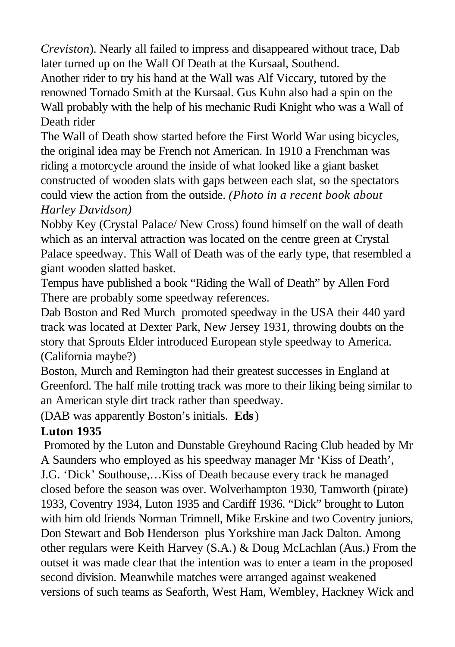*Creviston*). Nearly all failed to impress and disappeared without trace, Dab later turned up on the Wall Of Death at the Kursaal, Southend.

Another rider to try his hand at the Wall was Alf Viccary, tutored by the renowned Tornado Smith at the Kursaal. Gus Kuhn also had a spin on the Wall probably with the help of his mechanic Rudi Knight who was a Wall of Death rider

The Wall of Death show started before the First World War using bicycles, the original idea may be French not American. In 1910 a Frenchman was riding a motorcycle around the inside of what looked like a giant basket constructed of wooden slats with gaps between each slat, so the spectators could view the action from the outside. *(Photo in a recent book about Harley Davidson)*

Nobby Key (Crystal Palace/ New Cross) found himself on the wall of death which as an interval attraction was located on the centre green at Crystal Palace speedway. This Wall of Death was of the early type, that resembled a giant wooden slatted basket.

Tempus have published a book "Riding the Wall of Death" by Allen Ford There are probably some speedway references.

Dab Boston and Red Murch promoted speedway in the USA their 440 yard track was located at Dexter Park, New Jersey 1931, throwing doubts on the story that Sprouts Elder introduced European style speedway to America. (California maybe?)

Boston, Murch and Remington had their greatest successes in England at Greenford. The half mile trotting track was more to their liking being similar to an American style dirt track rather than speedway.

(DAB was apparently Boston's initials. **Eds**)

# **Luton 1935**

Promoted by the Luton and Dunstable Greyhound Racing Club headed by Mr A Saunders who employed as his speedway manager Mr 'Kiss of Death', J.G. 'Dick' Southouse,…Kiss of Death because every track he managed closed before the season was over. Wolverhampton 1930, Tamworth (pirate) 1933, Coventry 1934, Luton 1935 and Cardiff 1936. "Dick" brought to Luton with him old friends Norman Trimnell, Mike Erskine and two Coventry juniors, Don Stewart and Bob Henderson plus Yorkshire man Jack Dalton. Among other regulars were Keith Harvey (S.A.) & Doug McLachlan (Aus.) From the outset it was made clear that the intention was to enter a team in the proposed second division. Meanwhile matches were arranged against weakened versions of such teams as Seaforth, West Ham, Wembley, Hackney Wick and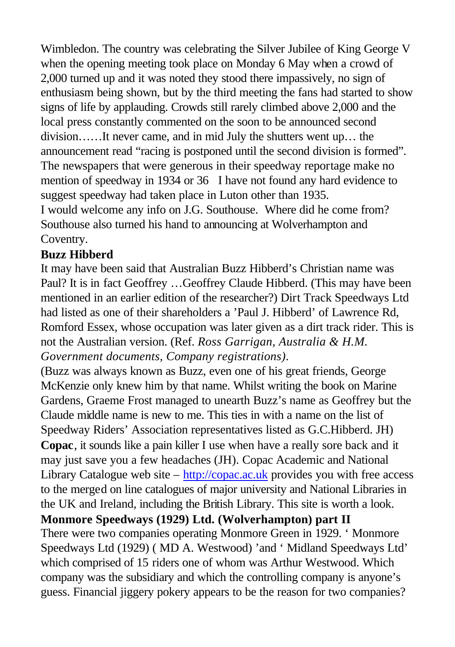Wimbledon. The country was celebrating the Silver Jubilee of King George V when the opening meeting took place on Monday 6 May when a crowd of 2,000 turned up and it was noted they stood there impassively, no sign of enthusiasm being shown, but by the third meeting the fans had started to show signs of life by applauding. Crowds still rarely climbed above 2,000 and the local press constantly commented on the soon to be announced second division……It never came, and in mid July the shutters went up… the announcement read "racing is postponed until the second division is formed". The newspapers that were generous in their speedway reportage make no mention of speedway in 1934 or 36 I have not found any hard evidence to suggest speedway had taken place in Luton other than 1935. I would welcome any info on J.G. Southouse. Where did he come from? Southouse also turned his hand to announcing at Wolverhampton and Coventry.

### **Buzz Hibberd**

It may have been said that Australian Buzz Hibberd's Christian name was Paul? It is in fact Geoffrey …Geoffrey Claude Hibberd. (This may have been mentioned in an earlier edition of the researcher?) Dirt Track Speedways Ltd had listed as one of their shareholders a 'Paul J. Hibberd' of Lawrence Rd, Romford Essex, whose occupation was later given as a dirt track rider. This is not the Australian version. (Ref. *Ross Garrigan, Australia & H.M. Government documents, Company registrations)*.

(Buzz was always known as Buzz, even one of his great friends, George McKenzie only knew him by that name. Whilst writing the book on Marine Gardens, Graeme Frost managed to unearth Buzz's name as Geoffrey but the Claude middle name is new to me. This ties in with a name on the list of Speedway Riders' Association representatives listed as G.C.Hibberd. JH) **Copac**, it sounds like a pain killer I use when have a really sore back and it may just save you a few headaches (JH). Copac Academic and National Library Catalogue web site  $-\frac{http://copac.ac.uk}{\text{provides}}$  you with free access to the merged on line catalogues of major university and National Libraries in the UK and Ireland, including the British Library. This site is worth a look. **Monmore Speedways (1929) Ltd. (Wolverhampton) part II**  There were two companies operating Monmore Green in 1929. ' Monmore Speedways Ltd (1929) ( MD A. Westwood) 'and ' Midland Speedways Ltd' which comprised of 15 riders one of whom was Arthur Westwood. Which company was the subsidiary and which the controlling company is anyone's guess. Financial jiggery pokery appears to be the reason for two companies?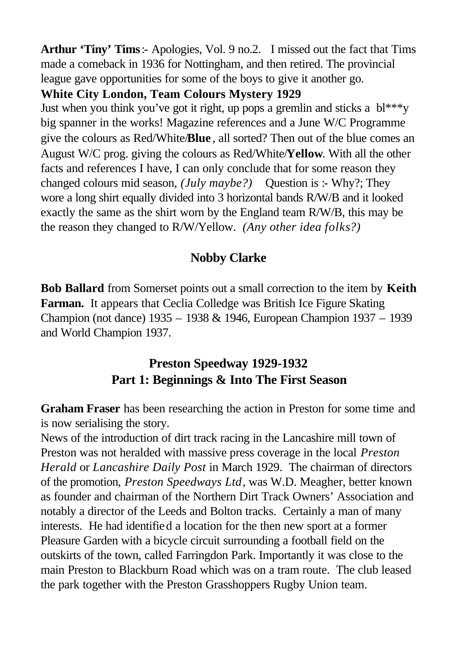**Arthur 'Tiny' Tims**:- Apologies, Vol. 9 no.2. I missed out the fact that Tims made a comeback in 1936 for Nottingham, and then retired. The provincial league gave opportunities for some of the boys to give it another go.

## **White City London, Team Colours Mystery 1929**

Just when you think you've got it right, up pops a gremlin and sticks a  $b^{***}y$ big spanner in the works! Magazine references and a June W/C Programme give the colours as Red/White/**Blue** , all sorted? Then out of the blue comes an August W/C prog. giving the colours as Red/White/**Yellow**. With all the other facts and references I have, I can only conclude that for some reason they changed colours mid season*, (July maybe?)* Question is :- Why?; They wore a long shirt equally divided into 3 horizontal bands R/W/B and it looked exactly the same as the shirt worn by the England team R/W/B, this may be the reason they changed to R/W/Yellow. *(Any other idea folks?)*

# **Nobby Clarke**

**Bob Ballard** from Somerset points out a small correction to the item by **Keith Farman.** It appears that Ceclia Colledge was British Ice Figure Skating Champion (not dance) 1935 – 1938 & 1946, European Champion 1937 – 1939 and World Champion 1937.

# **Preston Speedway 1929-1932 Part 1: Beginnings & Into The First Season**

**Graham Fraser** has been researching the action in Preston for some time and is now serialising the story.

News of the introduction of dirt track racing in the Lancashire mill town of Preston was not heralded with massive press coverage in the local *Preston Herald* or *Lancashire Daily Post* in March 1929. The chairman of directors of the promotion, *Preston Speedways Ltd*, was W.D. Meagher, better known as founder and chairman of the Northern Dirt Track Owners' Association and notably a director of the Leeds and Bolton tracks. Certainly a man of many interests. He had identified a location for the then new sport at a former Pleasure Garden with a bicycle circuit surrounding a football field on the outskirts of the town, called Farringdon Park. Importantly it was close to the main Preston to Blackburn Road which was on a tram route. The club leased the park together with the Preston Grasshoppers Rugby Union team.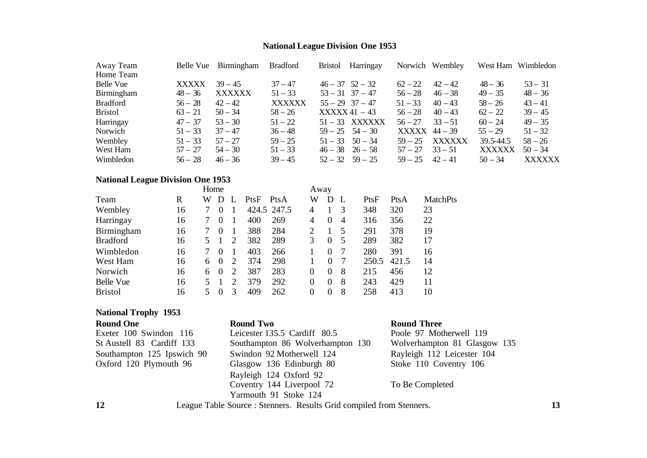# **National League Division One 1953**

| Away Team       |              | Belle Vue Birmingham | <b>Bradford</b> | <b>Bristol</b>      | Harringay           | Norwich Wembley |               | West Ham Wimbledon |               |
|-----------------|--------------|----------------------|-----------------|---------------------|---------------------|-----------------|---------------|--------------------|---------------|
| Home Team       |              |                      |                 |                     |                     |                 |               |                    |               |
| Belle Vue       | <b>XXXXX</b> | $39 - 45$            | $37 - 47$       | $46 - 37$ $52 - 32$ |                     | $62 - 22$       | $42 - 42$     | $48 - 36$          | $53 - 31$     |
| Birmingham      | $48 - 36$    | <b>XXXXXX</b>        | $51 - 33$       |                     | $53 - 31$ $37 - 47$ | $56 - 28$       | $46 - 38$     | $49 - 35$          | $48 - 36$     |
| <b>Bradford</b> | $56 - 28$    | $42 - 42$            | <b>XXXXXX</b>   | $55 - 29$ 37 - 47   |                     | $51 - 33$       | $40 - 43$     | $58 - 26$          | $43 - 41$     |
| <b>Bristol</b>  | $63 - 21$    | $50 - 34$            | $58 - 26$       | $XXXX 41 - 43$      |                     | $56 - 28$       | $40 - 43$     | $62 - 22$          | $39 - 45$     |
| Harringay       | $47 - 37$    | $53 - 30$            | $51 - 22$       |                     | $51 - 33$ XXXXXX    | $56 - 27$       | $33 - 51$     | $60 - 24$          | $49 - 35$     |
| Norwich         | $51 - 33$    | $37 - 47$            | $36 - 48$       |                     | $59 - 25$ $54 - 30$ | $XXXX$ 44 – 39  |               | $55 - 29$          | $51 - 32$     |
| Wembley         | $51 - 33$    | $57 - 27$            | $59 - 25$       |                     | $51 - 33$ $50 - 34$ | $59 - 25$       | <b>XXXXXX</b> | 39.5-44.5          | $58 - 26$     |
| West Ham        | $57 - 27$    | $54 - 30$            | $51 - 33$       |                     | $46 - 38$ $26 - 58$ | $57 - 27$       | $33 - 51$     | <b>XXXXXX</b>      | $50 - 34$     |
| Wimbledon       | $56 - 28$    | $46 - 36$            | $39 - 45$       |                     | $52 - 32$ $59 - 25$ | $59 - 25$       | $42 - 41$     | $50 - 34$          | <b>XXXXXX</b> |

# **National League Division One 1953**

|                  |    | Home |          |   |      |             | Away |          |                         |       |       |                 |
|------------------|----|------|----------|---|------|-------------|------|----------|-------------------------|-------|-------|-----------------|
| Team             | R  | W    | Ð        |   | PtsF | PtsA        | W    | D        |                         | PtsF  | PtsA  | <b>MatchPts</b> |
| Wembley          | 16 |      | $\theta$ |   |      | 424.5 247.5 | 4    |          |                         | 348   | 320   | 23              |
| Harringay        | 16 |      | $\theta$ |   | 400  | 269         | 4    | $\Omega$ | $\overline{4}$          | 316   | 356   | 22              |
| Birmingham       | 16 |      |          |   | 388  | 284         | 2    |          | $\overline{\mathbf{5}}$ | 291   | 378   | 19              |
| <b>Bradford</b>  | 16 |      |          | 2 | 382  | 289         | 3    | 0        | 5                       | 289   | 382   | 17              |
| Wimbledon        | 16 |      |          |   | 403  | 266         |      | 0        |                         | 280   | 391   | 16              |
| West Ham         | 16 | 6    | $\theta$ | 2 | 374  | 298         |      | 0        |                         | 250.5 | 421.5 | 14              |
| Norwich          | 16 | 6    | $\theta$ | 2 | 387  | 283         | 0    | 0        | 8                       | 215   | 456   | 12              |
| <b>Belle Vue</b> | 16 |      |          | っ | 379  | 292         | 0    | $\Omega$ | 8                       | 243   | 429   | 11              |
| <b>Bristol</b>   | 16 |      |          | 3 | 409  | 262         | 0    | 0        | 8                       | 258   | 413   | 10              |

# **National Trophy 1953**

| <b>Round One</b>           | <b>Round Two</b>                 | <b>Round Three</b>           |
|----------------------------|----------------------------------|------------------------------|
| Exeter 100 Swindon 116     | Leicester 135.5 Cardiff 80.5     | Poole 97 Motherwell 119      |
| St Austell 83 Cardiff 133  | Southampton 86 Wolverhampton 130 | Wolverhampton 81 Glasgow 135 |
| Southampton 125 Ipswich 90 | Swindon 92 Motherwell 124        | Rayleigh 112 Leicester 104   |
| Oxford 120 Plymouth 96     | Glasgow 136 Edinburgh 80         | Stoke 110 Coventry 106       |
|                            | Rayleigh 124 Oxford 92           |                              |
|                            | Coventry 144 Liverpool 72        | To Be Completed              |
|                            | Yarmouth 91 Stoke 124            |                              |
|                            |                                  |                              |

**12** League Table Source : Stenners. Results Grid compiled from Stenners. **13**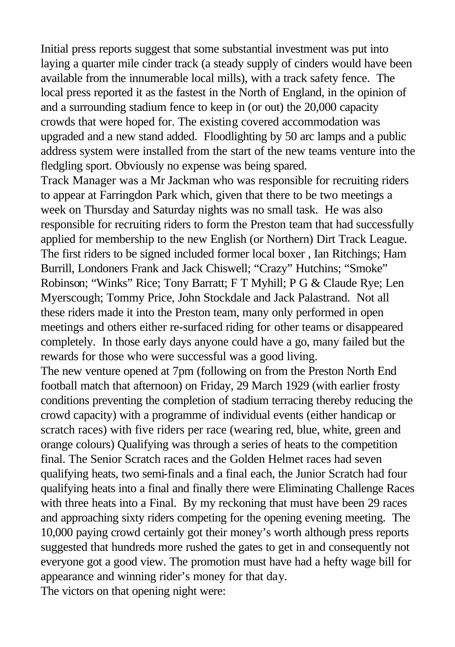Initial press reports suggest that some substantial investment was put into laying a quarter mile cinder track (a steady supply of cinders would have been available from the innumerable local mills), with a track safety fence. The local press reported it as the fastest in the North of England, in the opinion of and a surrounding stadium fence to keep in (or out) the 20,000 capacity crowds that were hoped for. The existing covered accommodation was upgraded and a new stand added. Floodlighting by 50 arc lamps and a public address system were installed from the start of the new teams venture into the fledgling sport. Obviously no expense was being spared.

Track Manager was a Mr Jackman who was responsible for recruiting riders to appear at Farringdon Park which, given that there to be two meetings a week on Thursday and Saturday nights was no small task. He was also responsible for recruiting riders to form the Preston team that had successfully applied for membership to the new English (or Northern) Dirt Track League. The first riders to be signed included former local boxer , Ian Ritchings; Ham Burrill, Londoners Frank and Jack Chiswell; "Crazy" Hutchins; "Smoke" Robinson; "Winks" Rice; Tony Barratt; F T Myhill; P G & Claude Rye; Len Myerscough; Tommy Price, John Stockdale and Jack Palastrand. Not all these riders made it into the Preston team, many only performed in open meetings and others either re-surfaced riding for other teams or disappeared completely. In those early days anyone could have a go, many failed but the rewards for those who were successful was a good living.

The new venture opened at 7pm (following on from the Preston North End football match that afternoon) on Friday, 29 March 1929 (with earlier frosty conditions preventing the completion of stadium terracing thereby reducing the crowd capacity) with a programme of individual events (either handicap or scratch races) with five riders per race (wearing red, blue, white, green and orange colours) Qualifying was through a series of heats to the competition final. The Senior Scratch races and the Golden Helmet races had seven qualifying heats, two semi-finals and a final each, the Junior Scratch had four qualifying heats into a final and finally there were Eliminating Challenge Races with three heats into a Final. By my reckoning that must have been 29 races and approaching sixty riders competing for the opening evening meeting. The 10,000 paying crowd certainly got their money's worth although press reports suggested that hundreds more rushed the gates to get in and consequently not everyone got a good view. The promotion must have had a hefty wage bill for appearance and winning rider's money for that day. The victors on that opening night were: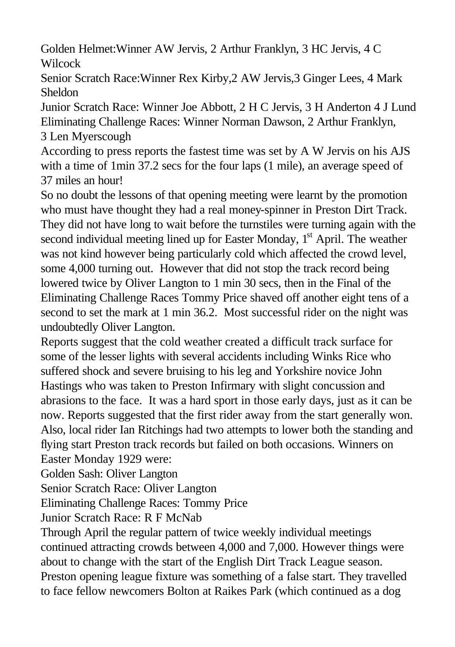Golden Helmet:Winner AW Jervis, 2 Arthur Franklyn, 3 HC Jervis, 4 C **Wilcock** 

Senior Scratch Race:Winner Rex Kirby,2 AW Jervis,3 Ginger Lees, 4 Mark Sheldon

Junior Scratch Race: Winner Joe Abbott, 2 H C Jervis, 3 H Anderton 4 J Lund Eliminating Challenge Races: Winner Norman Dawson, 2 Arthur Franklyn, 3 Len Myerscough

According to press reports the fastest time was set by A W Jervis on his AJS with a time of 1min 37.2 secs for the four laps (1 mile), an average speed of 37 miles an hour!

So no doubt the lessons of that opening meeting were learnt by the promotion who must have thought they had a real money-spinner in Preston Dirt Track. They did not have long to wait before the turnstiles were turning again with the second individual meeting lined up for Easter Monday, 1<sup>st</sup> April. The weather was not kind however being particularly cold which affected the crowd level, some 4,000 turning out. However that did not stop the track record being lowered twice by Oliver Langton to 1 min 30 secs, then in the Final of the Eliminating Challenge Races Tommy Price shaved off another eight tens of a second to set the mark at 1 min 36.2. Most successful rider on the night was undoubtedly Oliver Langton.

Reports suggest that the cold weather created a difficult track surface for some of the lesser lights with several accidents including Winks Rice who suffered shock and severe bruising to his leg and Yorkshire novice John Hastings who was taken to Preston Infirmary with slight concussion and abrasions to the face. It was a hard sport in those early days, just as it can be now. Reports suggested that the first rider away from the start generally won. Also, local rider Ian Ritchings had two attempts to lower both the standing and flying start Preston track records but failed on both occasions. Winners on Easter Monday 1929 were:

Golden Sash: Oliver Langton

Senior Scratch Race: Oliver Langton

Eliminating Challenge Races: Tommy Price

Junior Scratch Race: R F McNab

Through April the regular pattern of twice weekly individual meetings continued attracting crowds between 4,000 and 7,000. However things were about to change with the start of the English Dirt Track League season. Preston opening league fixture was something of a false start. They travelled to face fellow newcomers Bolton at Raikes Park (which continued as a dog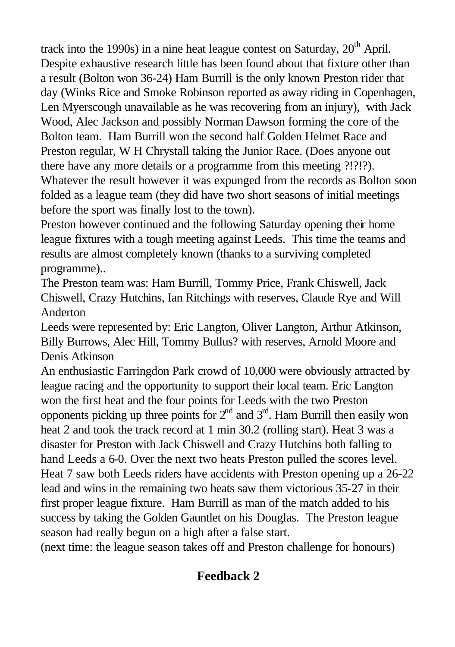track into the 1990s) in a nine heat league contest on Saturday,  $20<sup>th</sup>$  April. Despite exhaustive research little has been found about that fixture other than a result (Bolton won 36-24) Ham Burrill is the only known Preston rider that day (Winks Rice and Smoke Robinson reported as away riding in Copenhagen, Len Myerscough unavailable as he was recovering from an injury), with Jack Wood, Alec Jackson and possibly Norman Dawson forming the core of the Bolton team. Ham Burrill won the second half Golden Helmet Race and Preston regular, W H Chrystall taking the Junior Race. (Does anyone out there have any more details or a programme from this meeting ?!?!?). Whatever the result however it was expunged from the records as Bolton soon folded as a league team (they did have two short seasons of initial meetings before the sport was finally lost to the town).

Preston however continued and the following Saturday opening their home league fixtures with a tough meeting against Leeds. This time the teams and results are almost completely known (thanks to a surviving completed programme)..

The Preston team was: Ham Burrill, Tommy Price, Frank Chiswell, Jack Chiswell, Crazy Hutchins, Ian Ritchings with reserves, Claude Rye and Will Anderton

Leeds were represented by: Eric Langton, Oliver Langton, Arthur Atkinson, Billy Burrows, Alec Hill, Tommy Bullus? with reserves, Arnold Moore and Denis Atkinson

An enthusiastic Farringdon Park crowd of 10,000 were obviously attracted by league racing and the opportunity to support their local team. Eric Langton won the first heat and the four points for Leeds with the two Preston opponents picking up three points for  $2<sup>nd</sup>$  and  $3<sup>rd</sup>$ . Ham Burrill then easily won heat 2 and took the track record at 1 min 30.2 (rolling start). Heat 3 was a disaster for Preston with Jack Chiswell and Crazy Hutchins both falling to hand Leeds a 6-0. Over the next two heats Preston pulled the scores level. Heat 7 saw both Leeds riders have accidents with Preston opening up a 26-22 lead and wins in the remaining two heats saw them victorious 35-27 in their first proper league fixture. Ham Burrill as man of the match added to his success by taking the Golden Gauntlet on his Douglas. The Preston league season had really begun on a high after a false start.

(next time: the league season takes off and Preston challenge for honours)

# **Feedback 2**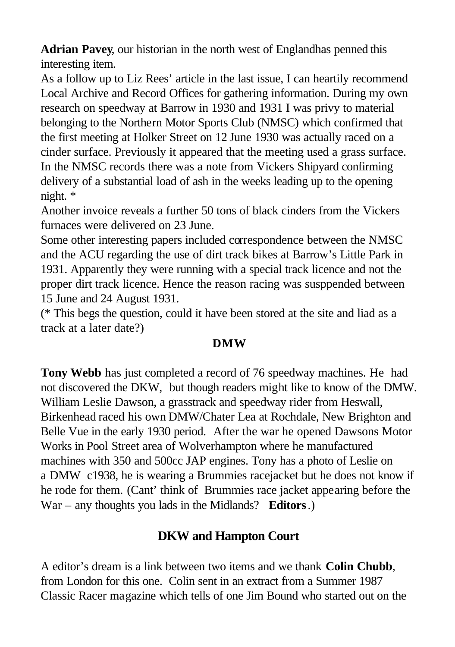**Adrian Pavey**, our historian in the north west of Englandhas penned this interesting item.

As a follow up to Liz Rees' article in the last issue, I can heartily recommend Local Archive and Record Offices for gathering information. During my own research on speedway at Barrow in 1930 and 1931 I was privy to material belonging to the Northern Motor Sports Club (NMSC) which confirmed that the first meeting at Holker Street on 12 June 1930 was actually raced on a cinder surface. Previously it appeared that the meeting used a grass surface. In the NMSC records there was a note from Vickers Shipyard confirming delivery of a substantial load of ash in the weeks leading up to the opening night. \*

Another invoice reveals a further 50 tons of black cinders from the Vickers furnaces were delivered on 23 June.

Some other interesting papers included correspondence between the NMSC and the ACU regarding the use of dirt track bikes at Barrow's Little Park in 1931. Apparently they were running with a special track licence and not the proper dirt track licence. Hence the reason racing was susppended between 15 June and 24 August 1931.

(\* This begs the question, could it have been stored at the site and liad as a track at a later date?)

### **DMW**

**Tony Webb** has just completed a record of 76 speedway machines. He had not discovered the DKW, but though readers might like to know of the DMW. William Leslie Dawson, a grasstrack and speedway rider from Heswall, Birkenhead raced his own DMW/Chater Lea at Rochdale, New Brighton and Belle Vue in the early 1930 period. After the war he opened Dawsons Motor Works in Pool Street area of Wolverhampton where he manufactured machines with 350 and 500cc JAP engines. Tony has a photo of Leslie on a DMW c1938, he is wearing a Brummies racejacket but he does not know if he rode for them. (Cant' think of Brummies race jacket appearing before the War – any thoughts you lads in the Midlands? **Editors**.)

## **DKW and Hampton Court**

A editor's dream is a link between two items and we thank **Colin Chubb**, from London for this one. Colin sent in an extract from a Summer 1987 Classic Racer magazine which tells of one Jim Bound who started out on the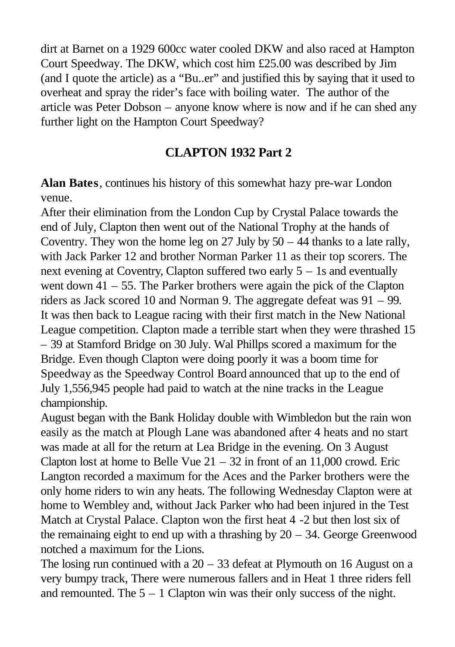dirt at Barnet on a 1929 600cc water cooled DKW and also raced at Hampton Court Speedway. The DKW, which cost him £25.00 was described by Jim (and I quote the article) as a "Bu..er" and justified this by saying that it used to overheat and spray the rider's face with boiling water. The author of the article was Peter Dobson – anyone know where is now and if he can shed any further light on the Hampton Court Speedway?

## **CLAPTON 1932 Part 2**

**Alan Bates**, continues his history of this somewhat hazy pre-war London venue.

After their elimination from the London Cup by Crystal Palace towards the end of July, Clapton then went out of the National Trophy at the hands of Coventry. They won the home leg on 27 July by  $50 - 44$  thanks to a late rally, with Jack Parker 12 and brother Norman Parker 11 as their top scorers. The next evening at Coventry, Clapton suffered two early 5 – 1s and eventually went down 41 – 55. The Parker brothers were again the pick of the Clapton riders as Jack scored 10 and Norman 9. The aggregate defeat was 91 – 99. It was then back to League racing with their first match in the New National League competition. Clapton made a terrible start when they were thrashed 15 – 39 at Stamford Bridge on 30 July. Wal Phillps scored a maximum for the Bridge. Even though Clapton were doing poorly it was a boom time for Speedway as the Speedway Control Board announced that up to the end of July 1,556,945 people had paid to watch at the nine tracks in the League championship.

August began with the Bank Holiday double with Wimbledon but the rain won easily as the match at Plough Lane was abandoned after 4 heats and no start was made at all for the return at Lea Bridge in the evening. On 3 August Clapton lost at home to Belle Vue  $21 - 32$  in front of an 11,000 crowd. Eric Langton recorded a maximum for the Aces and the Parker brothers were the only home riders to win any heats. The following Wednesday Clapton were at home to Wembley and, without Jack Parker who had been injured in the Test Match at Crystal Palace. Clapton won the first heat 4 -2 but then lost six of the remainaing eight to end up with a thrashing by  $20 - 34$ . George Greenwood notched a maximum for the Lions.

The losing run continued with a  $20 - 33$  defeat at Plymouth on 16 August on a very bumpy track, There were numerous fallers and in Heat 1 three riders fell and remounted. The  $5 - 1$  Clapton win was their only success of the night.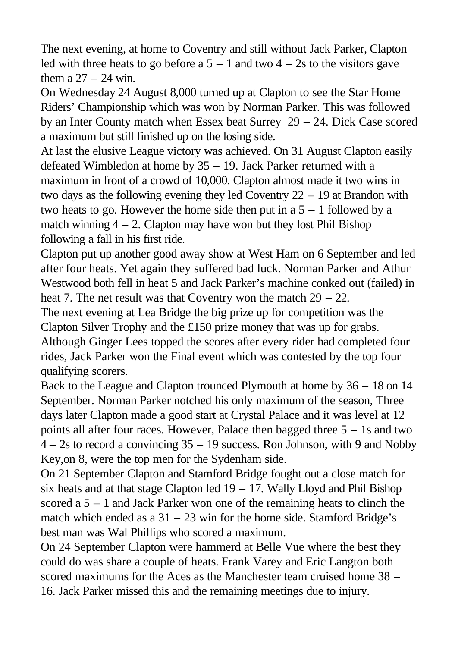The next evening, at home to Coventry and still without Jack Parker, Clapton led with three heats to go before a  $5 - 1$  and two  $4 - 2s$  to the visitors gave them a  $27 - 24$  win.

On Wednesday 24 August 8,000 turned up at Clapton to see the Star Home Riders' Championship which was won by Norman Parker. This was followed by an Inter County match when Essex beat Surrey 29 – 24. Dick Case scored a maximum but still finished up on the losing side.

At last the elusive League victory was achieved. On 31 August Clapton easily defeated Wimbledon at home by 35 – 19. Jack Parker returned with a maximum in front of a crowd of 10,000. Clapton almost made it two wins in two days as the following evening they led Coventry 22 – 19 at Brandon with two heats to go. However the home side then put in a  $5 - 1$  followed by a match winning  $4 - 2$ . Clapton may have won but they lost Phil Bishop following a fall in his first ride.

Clapton put up another good away show at West Ham on 6 September and led after four heats. Yet again they suffered bad luck. Norman Parker and Athur Westwood both fell in heat 5 and Jack Parker's machine conked out (failed) in heat 7. The net result was that Coventry won the match  $29 - 22$ .

The next evening at Lea Bridge the big prize up for competition was the Clapton Silver Trophy and the £150 prize money that was up for grabs. Although Ginger Lees topped the scores after every rider had completed four rides, Jack Parker won the Final event which was contested by the top four qualifying scorers.

Back to the League and Clapton trounced Plymouth at home by 36 – 18 on 14 September. Norman Parker notched his only maximum of the season, Three days later Clapton made a good start at Crystal Palace and it was level at 12 points all after four races. However, Palace then bagged three 5 – 1s and two 4 – 2s to record a convincing 35 – 19 success. Ron Johnson, with 9 and Nobby Key,on 8, were the top men for the Sydenham side.

On 21 September Clapton and Stamford Bridge fought out a close match for six heats and at that stage Clapton led  $19 - 17$ . Wally Lloyd and Phil Bishop scored a 5 – 1 and Jack Parker won one of the remaining heats to clinch the match which ended as a  $31 - 23$  win for the home side. Stamford Bridge's best man was Wal Phillips who scored a maximum.

On 24 September Clapton were hammerd at Belle Vue where the best they could do was share a couple of heats. Frank Varey and Eric Langton both scored maximums for the Aces as the Manchester team cruised home 38 – 16. Jack Parker missed this and the remaining meetings due to injury.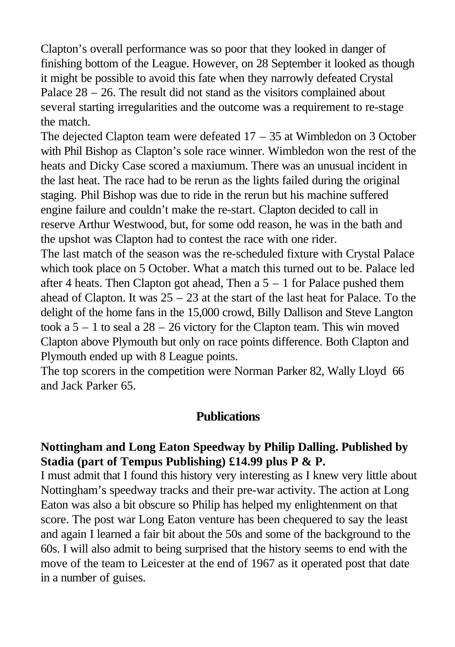Clapton's overall performance was so poor that they looked in danger of finishing bottom of the League. However, on 28 September it looked as though it might be possible to avoid this fate when they narrowly defeated Crystal Palace  $28 - 26$ . The result did not stand as the visitors complained about several starting irregularities and the outcome was a requirement to re-stage the match.

The dejected Clapton team were defeated 17 – 35 at Wimbledon on 3 October with Phil Bishop as Clapton's sole race winner. Wimbledon won the rest of the heats and Dicky Case scored a maxiumum. There was an unusual incident in the last heat. The race had to be rerun as the lights failed during the original staging. Phil Bishop was due to ride in the rerun but his machine suffered engine failure and couldn't make the re-start. Clapton decided to call in reserve Arthur Westwood, but, for some odd reason, he was in the bath and the upshot was Clapton had to contest the race with one rider.

The last match of the season was the re-scheduled fixture with Crystal Palace which took place on 5 October. What a match this turned out to be. Palace led after 4 heats. Then Clapton got ahead, Then a  $5 - 1$  for Palace pushed them ahead of Clapton. It was  $25 - 23$  at the start of the last heat for Palace. To the delight of the home fans in the 15,000 crowd, Billy Dallison and Steve Langton took a  $5 - 1$  to seal a  $28 - 26$  victory for the Clapton team. This win moved Clapton above Plymouth but only on race points difference. Both Clapton and Plymouth ended up with 8 League points.

The top scorers in the competition were Norman Parker 82, Wally Lloyd 66 and Jack Parker 65.

### **Publications**

### **Nottingham and Long Eaton Speedway by Philip Dalling. Published by Stadia (part of Tempus Publishing) £14.99 plus P & P.**

I must admit that I found this history very interesting as I knew very little about Nottingham's speedway tracks and their pre-war activity. The action at Long Eaton was also a bit obscure so Philip has helped my enlightenment on that score. The post war Long Eaton venture has been chequered to say the least and again I learned a fair bit about the 50s and some of the background to the 60s. I will also admit to being surprised that the history seems to end with the move of the team to Leicester at the end of 1967 as it operated post that date in a number of guises.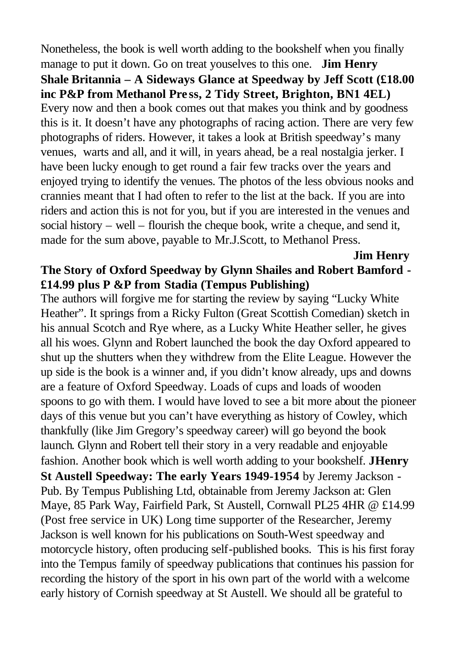Nonetheless, the book is well worth adding to the bookshelf when you finally manage to put it down. Go on treat youselves to this one. **Jim Henry Shale Britannia – A Sideways Glance at Speedway by Jeff Scott (£18.00 inc P&P from Methanol Pre ss, 2 Tidy Street, Brighton, BN1 4EL)**  Every now and then a book comes out that makes you think and by goodness this is it. It doesn't have any photographs of racing action. There are very few photographs of riders. However, it takes a look at British speedway's many venues, warts and all, and it will, in years ahead, be a real nostalgia jerker. I have been lucky enough to get round a fair few tracks over the years and enjoyed trying to identify the venues. The photos of the less obvious nooks and crannies meant that I had often to refer to the list at the back. If you are into riders and action this is not for you, but if you are interested in the venues and social history – well – flourish the cheque book, write a cheque, and send it, made for the sum above, payable to Mr.J.Scott, to Methanol Press.

# **The Story of Oxford Speedway by Glynn Shailes and Robert Bamford - £14.99 plus P &P from Stadia (Tempus Publishing)**

**Jim Henry**

The authors will forgive me for starting the review by saying "Lucky White Heather". It springs from a Ricky Fulton (Great Scottish Comedian) sketch in his annual Scotch and Rye where, as a Lucky White Heather seller, he gives all his woes. Glynn and Robert launched the book the day Oxford appeared to shut up the shutters when they withdrew from the Elite League. However the up side is the book is a winner and, if you didn't know already, ups and downs are a feature of Oxford Speedway. Loads of cups and loads of wooden spoons to go with them. I would have loved to see a bit more about the pioneer days of this venue but you can't have everything as history of Cowley, which thankfully (like Jim Gregory's speedway career) will go beyond the book launch. Glynn and Robert tell their story in a very readable and enjoyable fashion. Another book which is well worth adding to your bookshelf. **JHenry St Austell Speedway: The early Years 1949-1954** by Jeremy Jackson - Pub. By Tempus Publishing Ltd, obtainable from Jeremy Jackson at: Glen Maye, 85 Park Way, Fairfield Park, St Austell, Cornwall PL25 4HR @ £14.99 (Post free service in UK) Long time supporter of the Researcher, Jeremy Jackson is well known for his publications on South-West speedway and motorcycle history, often producing self-published books. This is his first foray into the Tempus family of speedway publications that continues his passion for recording the history of the sport in his own part of the world with a welcome early history of Cornish speedway at St Austell. We should all be grateful to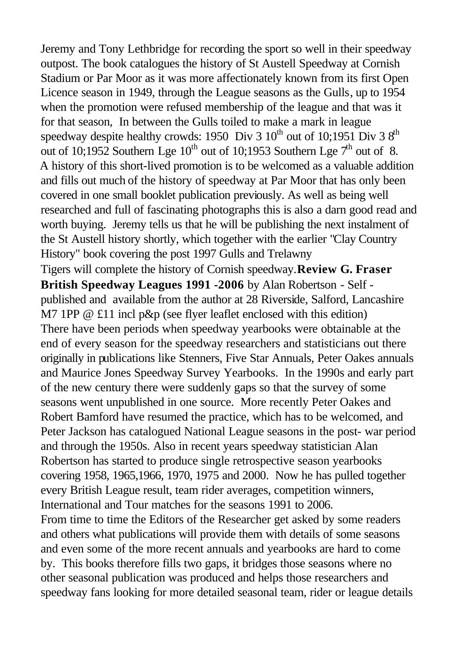Jeremy and Tony Lethbridge for recording the sport so well in their speedway outpost. The book catalogues the history of St Austell Speedway at Cornish Stadium or Par Moor as it was more affectionately known from its first Open Licence season in 1949, through the League seasons as the Gulls, up to 1954 when the promotion were refused membership of the league and that was it for that season, In between the Gulls toiled to make a mark in league speedway despite healthy crowds: 1950 Div 3  $10^{th}$  out of 10;1951 Div 3  $8^{th}$ out of 10;1952 Southern Lge  $10^{th}$  out of 10;1953 Southern Lge  $7^{th}$  out of 8. A history of this short-lived promotion is to be welcomed as a valuable addition and fills out much of the history of speedway at Par Moor that has only been covered in one small booklet publication previously. As well as being well researched and full of fascinating photographs this is also a darn good read and worth buying. Jeremy tells us that he will be publishing the next instalment of the St Austell history shortly, which together with the earlier "Clay Country History" book covering the post 1997 Gulls and Trelawny Tigers will complete the history of Cornish speedway.**Review G. Fraser British Speedway Leagues 1991 -2006** by Alan Robertson - Self published and available from the author at 28 Riverside, Salford, Lancashire M7 1PP @ £11 incl p&p (see flyer leaflet enclosed with this edition) There have been periods when speedway yearbooks were obtainable at the end of every season for the speedway researchers and statisticians out there originally in publications like Stenners, Five Star Annuals, Peter Oakes annuals and Maurice Jones Speedway Survey Yearbooks. In the 1990s and early part of the new century there were suddenly gaps so that the survey of some seasons went unpublished in one source. More recently Peter Oakes and Robert Bamford have resumed the practice, which has to be welcomed, and Peter Jackson has catalogued National League seasons in the post- war period and through the 1950s. Also in recent years speedway statistician Alan Robertson has started to produce single retrospective season yearbooks covering 1958, 1965,1966, 1970, 1975 and 2000. Now he has pulled together every British League result, team rider averages, competition winners, International and Tour matches for the seasons 1991 to 2006. From time to time the Editors of the Researcher get asked by some readers and others what publications will provide them with details of some seasons and even some of the more recent annuals and yearbooks are hard to come by. This books therefore fills two gaps, it bridges those seasons where no other seasonal publication was produced and helps those researchers and speedway fans looking for more detailed seasonal team, rider or league details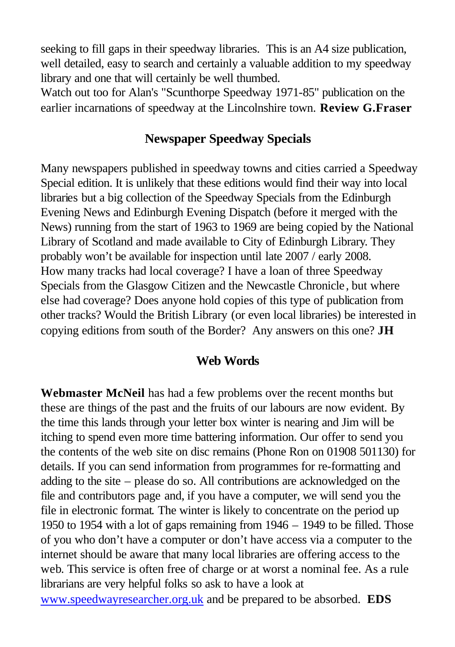seeking to fill gaps in their speedway libraries. This is an A4 size publication, well detailed, easy to search and certainly a valuable addition to my speedway library and one that will certainly be well thumbed.

Watch out too for Alan's "Scunthorpe Speedway 1971-85" publication on the earlier incarnations of speedway at the Lincolnshire town. **Review G.Fraser**

## **Newspaper Speedway Specials**

Many newspapers published in speedway towns and cities carried a Speedway Special edition. It is unlikely that these editions would find their way into local libraries but a big collection of the Speedway Specials from the Edinburgh Evening News and Edinburgh Evening Dispatch (before it merged with the News) running from the start of 1963 to 1969 are being copied by the National Library of Scotland and made available to City of Edinburgh Library. They probably won't be available for inspection until late 2007 / early 2008. How many tracks had local coverage? I have a loan of three Speedway Specials from the Glasgow Citizen and the Newcastle Chronicle , but where else had coverage? Does anyone hold copies of this type of publication from other tracks? Would the British Library (or even local libraries) be interested in copying editions from south of the Border? Any answers on this one? **JH**

### **Web Words**

**Webmaster McNeil** has had a few problems over the recent months but these are things of the past and the fruits of our labours are now evident. By the time this lands through your letter box winter is nearing and Jim will be itching to spend even more time battering information. Our offer to send you the contents of the web site on disc remains (Phone Ron on 01908 501130) for details. If you can send information from programmes for re-formatting and adding to the site – please do so. All contributions are acknowledged on the file and contributors page and, if you have a computer, we will send you the file in electronic format. The winter is likely to concentrate on the period up 1950 to 1954 with a lot of gaps remaining from 1946 – 1949 to be filled. Those of you who don't have a computer or don't have access via a computer to the internet should be aware that many local libraries are offering access to the web. This service is often free of charge or at worst a nominal fee. As a rule librarians are very helpful folks so ask to have a look at www.speedwayresearcher.org.uk and be prepared to be absorbed. **EDS**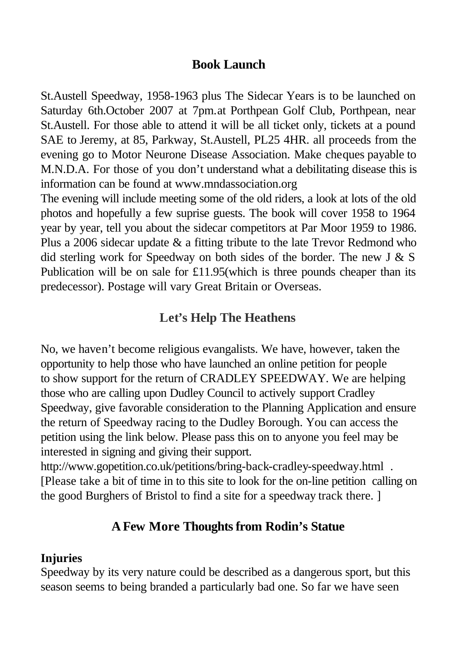## **Book Launch**

St.Austell Speedway, 1958-1963 plus The Sidecar Years is to be launched on Saturday 6th.October 2007 at 7pm.at Porthpean Golf Club, Porthpean, near St.Austell. For those able to attend it will be all ticket only, tickets at a pound SAE to Jeremy, at 85, Parkway, St.Austell, PL25 4HR. all proceeds from the evening go to Motor Neurone Disease Association. Make cheques payable to M.N.D.A. For those of you don't understand what a debilitating disease this is information can be found at www.mndassociation.org

The evening will include meeting some of the old riders, a look at lots of the old photos and hopefully a few suprise guests. The book will cover 1958 to 1964 year by year, tell you about the sidecar competitors at Par Moor 1959 to 1986. Plus a 2006 sidecar update & a fitting tribute to the late Trevor Redmond who did sterling work for Speedway on both sides of the border. The new  $J \& S$ Publication will be on sale for £11.95(which is three pounds cheaper than its predecessor). Postage will vary Great Britain or Overseas.

## **Let's Help The Heathens**

No, we haven't become religious evangalists. We have, however, taken the opportunity to help those who have launched an online petition for people to show support for the return of CRADLEY SPEEDWAY. We are helping those who are calling upon Dudley Council to actively support Cradley Speedway, give favorable consideration to the Planning Application and ensure the return of Speedway racing to the Dudley Borough. You can access the petition using the link below. Please pass this on to anyone you feel may be interested in signing and giving their support.

http://www.gopetition.co.uk/petitions/bring-back-cradley-speedway.html. [Please take a bit of time in to this site to look for the on-line petition calling on the good Burghers of Bristol to find a site for a speedway track there. ]

### **A Few More Thoughts from Rodin's Statue**

#### **Injuries**

Speedway by its very nature could be described as a dangerous sport, but this season seems to being branded a particularly bad one. So far we have seen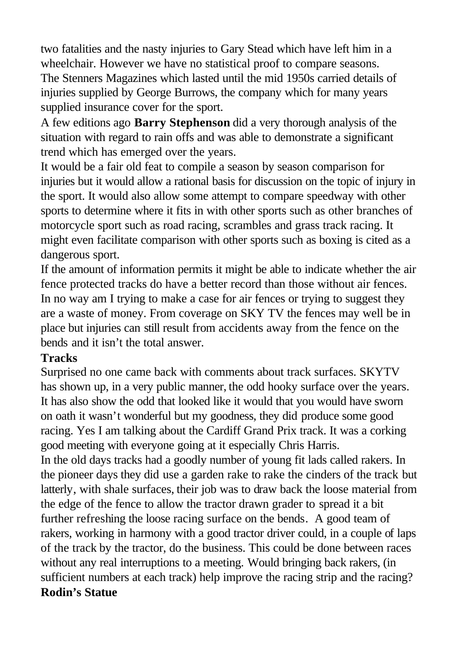two fatalities and the nasty injuries to Gary Stead which have left him in a wheelchair. However we have no statistical proof to compare seasons. The Stenners Magazines which lasted until the mid 1950s carried details of injuries supplied by George Burrows, the company which for many years supplied insurance cover for the sport.

A few editions ago **Barry Stephenson** did a very thorough analysis of the situation with regard to rain offs and was able to demonstrate a significant trend which has emerged over the years.

It would be a fair old feat to compile a season by season comparison for injuries but it would allow a rational basis for discussion on the topic of injury in the sport. It would also allow some attempt to compare speedway with other sports to determine where it fits in with other sports such as other branches of motorcycle sport such as road racing, scrambles and grass track racing. It might even facilitate comparison with other sports such as boxing is cited as a dangerous sport.

If the amount of information permits it might be able to indicate whether the air fence protected tracks do have a better record than those without air fences. In no way am I trying to make a case for air fences or trying to suggest they are a waste of money. From coverage on SKY TV the fences may well be in place but injuries can still result from accidents away from the fence on the bends and it isn't the total answer.

### **Tracks**

Surprised no one came back with comments about track surfaces. SKYTV has shown up, in a very public manner, the odd hooky surface over the years. It has also show the odd that looked like it would that you would have sworn on oath it wasn't wonderful but my goodness, they did produce some good racing. Yes I am talking about the Cardiff Grand Prix track. It was a corking good meeting with everyone going at it especially Chris Harris.

In the old days tracks had a goodly number of young fit lads called rakers. In the pioneer days they did use a garden rake to rake the cinders of the track but latterly, with shale surfaces, their job was to draw back the loose material from the edge of the fence to allow the tractor drawn grader to spread it a bit further refreshing the loose racing surface on the bends. A good team of rakers, working in harmony with a good tractor driver could, in a couple of laps of the track by the tractor, do the business. This could be done between races without any real interruptions to a meeting. Would bringing back rakers, (in sufficient numbers at each track) help improve the racing strip and the racing? **Rodin's Statue**